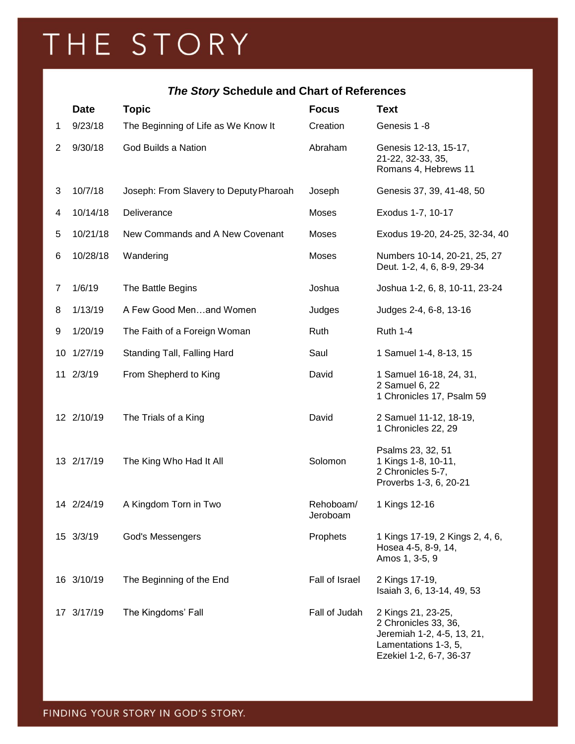## THE STORY

## *The Story* **Schedule and Chart of References**

|    | <b>Date</b> | <b>Topic</b>                           | <b>Focus</b>          | <b>Text</b>                                                                                                                 |
|----|-------------|----------------------------------------|-----------------------|-----------------------------------------------------------------------------------------------------------------------------|
| 1  | 9/23/18     | The Beginning of Life as We Know It    | Creation              | Genesis 1 -8                                                                                                                |
| 2  | 9/30/18     | God Builds a Nation                    | Abraham               | Genesis 12-13, 15-17,<br>21-22, 32-33, 35,<br>Romans 4, Hebrews 11                                                          |
| 3  | 10/7/18     | Joseph: From Slavery to Deputy Pharoah | Joseph                | Genesis 37, 39, 41-48, 50                                                                                                   |
| 4  | 10/14/18    | Deliverance                            | Moses                 | Exodus 1-7, 10-17                                                                                                           |
| 5  | 10/21/18    | New Commands and A New Covenant        | Moses                 | Exodus 19-20, 24-25, 32-34, 40                                                                                              |
| 6  | 10/28/18    | Wandering                              | Moses                 | Numbers 10-14, 20-21, 25, 27<br>Deut. 1-2, 4, 6, 8-9, 29-34                                                                 |
| 7  | 1/6/19      | The Battle Begins                      | Joshua                | Joshua 1-2, 6, 8, 10-11, 23-24                                                                                              |
| 8  | 1/13/19     | A Few Good Menand Women                | Judges                | Judges 2-4, 6-8, 13-16                                                                                                      |
| 9  | 1/20/19     | The Faith of a Foreign Woman           | Ruth                  | <b>Ruth 1-4</b>                                                                                                             |
| 10 | 1/27/19     | Standing Tall, Falling Hard            | Saul                  | 1 Samuel 1-4, 8-13, 15                                                                                                      |
|    | 11 2/3/19   | From Shepherd to King                  | David                 | 1 Samuel 16-18, 24, 31,<br>2 Samuel 6, 22<br>1 Chronicles 17, Psalm 59                                                      |
|    | 12 2/10/19  | The Trials of a King                   | David                 | 2 Samuel 11-12, 18-19,<br>1 Chronicles 22, 29                                                                               |
|    | 13 2/17/19  | The King Who Had It All                | Solomon               | Psalms 23, 32, 51<br>1 Kings 1-8, 10-11,<br>2 Chronicles 5-7,<br>Proverbs 1-3, 6, 20-21                                     |
|    | 14 2/24/19  | A Kingdom Torn in Two                  | Rehoboam/<br>Jeroboam | 1 Kings 12-16                                                                                                               |
|    | 15 3/3/19   | God's Messengers                       | Prophets              | 1 Kings 17-19, 2 Kings 2, 4, 6,<br>Hosea 4-5, 8-9, 14,<br>Amos 1, 3-5, 9                                                    |
|    | 16 3/10/19  | The Beginning of the End               | Fall of Israel        | 2 Kings 17-19,<br>Isaiah 3, 6, 13-14, 49, 53                                                                                |
|    | 17 3/17/19  | The Kingdoms' Fall                     | Fall of Judah         | 2 Kings 21, 23-25,<br>2 Chronicles 33, 36,<br>Jeremiah 1-2, 4-5, 13, 21,<br>Lamentations 1-3, 5,<br>Ezekiel 1-2, 6-7, 36-37 |